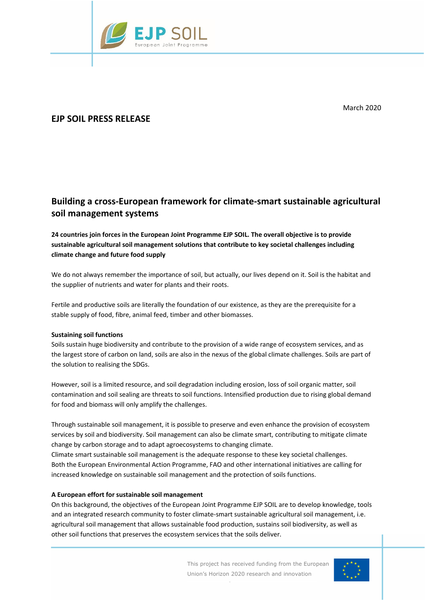

March 2020

# **EJP SOIL PRESS RELEASE**

# **Building a cross-European framework for climate-smart sustainable agricultural soil management systems**

## **24 countries join forces in the European Joint Programme EJP SOIL. The overall objective is to provide sustainable agricultural soil management solutions that contribute to key societal challenges including climate change and future food supply**

We do not always remember the importance of soil, but actually, our lives depend on it. Soil is the habitat and the supplier of nutrients and water for plants and their roots.

Fertile and productive soils are literally the foundation of our existence, as they are the prerequisite for a stable supply of food, fibre, animal feed, timber and other biomasses.

## **Sustaining soil functions**

Soils sustain huge biodiversity and contribute to the provision of a wide range of ecosystem services, and as the largest store of carbon on land, soils are also in the nexus of the global climate challenges. Soils are part of the solution to realising the SDGs.

However, soil is a limited resource, and soil degradation including erosion, loss of soil organic matter, soil contamination and soil sealing are threats to soil functions. Intensified production due to rising global demand for food and biomass will only amplify the challenges.

Through sustainable soil management, it is possible to preserve and even enhance the provision of ecosystem services by soil and biodiversity. Soil management can also be climate smart, contributing to mitigate climate change by carbon storage and to adapt agroecosystems to changing climate.

Climate smart sustainable soil management is the adequate response to these key societal challenges. Both the European Environmental Action Programme, FAO and other international initiatives are calling for increased knowledge on sustainable soil management and the protection of soils functions.

## **A European effort for sustainable soil management**

On this background, the objectives of the European Joint Programme EJP SOIL are to develop knowledge, tools and an integrated research community to foster climate-smart sustainable agricultural soil management, i.e. agricultural soil management that allows sustainable food production, sustains soil biodiversity, as well as other soil functions that preserves the ecosystem services that the soils deliver.

de la Carte